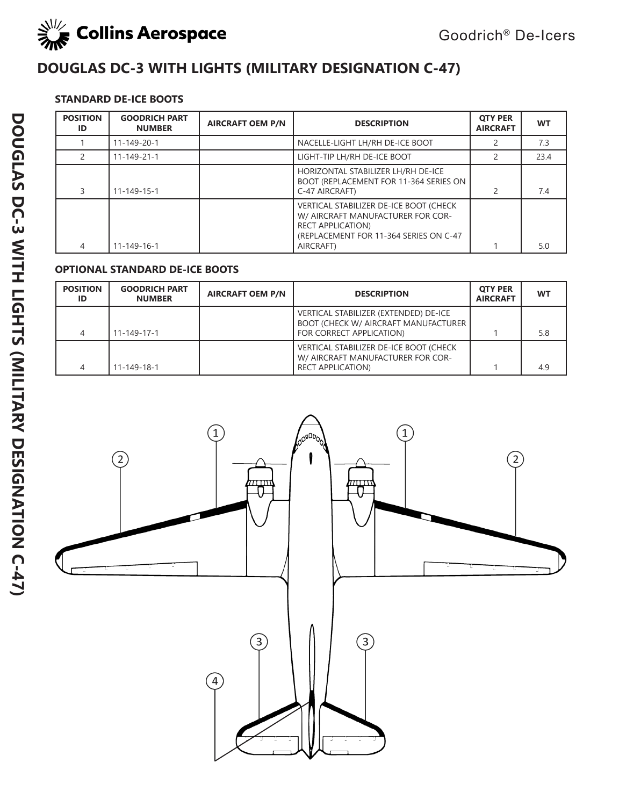

## **DOUGLAS DC-3 WITH LIGHTS (MILITARY DESIGNATION C-47)**

### **STANDARD DE-ICE BOOTS**

| <b>POSITION</b><br>ID | <b>GOODRICH PART</b><br><b>NUMBER</b> | <b>AIRCRAFT OEM P/N</b> | <b>DESCRIPTION</b>                                                                                                                                             | <b>OTY PER</b><br><b>AIRCRAFT</b> | <b>WT</b> |
|-----------------------|---------------------------------------|-------------------------|----------------------------------------------------------------------------------------------------------------------------------------------------------------|-----------------------------------|-----------|
|                       | 11-149-20-1                           |                         | NACELLE-LIGHT LH/RH DE-ICE BOOT                                                                                                                                |                                   | 7.3       |
|                       | $11 - 149 - 21 - 1$                   |                         | LIGHT-TIP LH/RH DE-ICE BOOT                                                                                                                                    |                                   | 23.4      |
| 3                     | $11 - 149 - 15 - 1$                   |                         | HORIZONTAL STABILIZER LH/RH DE-ICE<br><b>BOOT (REPLACEMENT FOR 11-364 SERIES ON</b><br>C-47 AIRCRAFT)                                                          | $\mathcal{P}$                     | 7.4       |
| 4                     | $11 - 149 - 16 - 1$                   |                         | VERTICAL STABILIZER DE-ICE BOOT (CHECK<br>W/ AIRCRAFT MANUFACTURER FOR COR-<br><b>RECT APPLICATION)</b><br>(REPLACEMENT FOR 11-364 SERIES ON C-47<br>AIRCRAFT) |                                   | 5.0       |

### **OPTIONAL STANDARD DE-ICE BOOTS**

| <b>POSITION</b><br>ID | <b>GOODRICH PART</b><br><b>NUMBER</b> | <b>AIRCRAFT OEM P/N</b> | <b>DESCRIPTION</b>                                                                                               | <b>OTY PER</b><br><b>AIRCRAFT</b> | <b>WT</b> |
|-----------------------|---------------------------------------|-------------------------|------------------------------------------------------------------------------------------------------------------|-----------------------------------|-----------|
| 4                     | $11 - 149 - 17 - 1$                   |                         | VERTICAL STABILIZER (EXTENDED) DE-ICE<br><b>BOOT (CHECK W/ AIRCRAFT MANUFACTURER</b><br>FOR CORRECT APPLICATION) |                                   | 5.8       |
| 4                     | $11 - 149 - 18 - 1$                   |                         | VERTICAL STABILIZER DE-ICE BOOT (CHECK<br>W/ AIRCRAFT MANUFACTURER FOR COR-<br><b>RECT APPLICATION)</b>          |                                   | 4.9       |

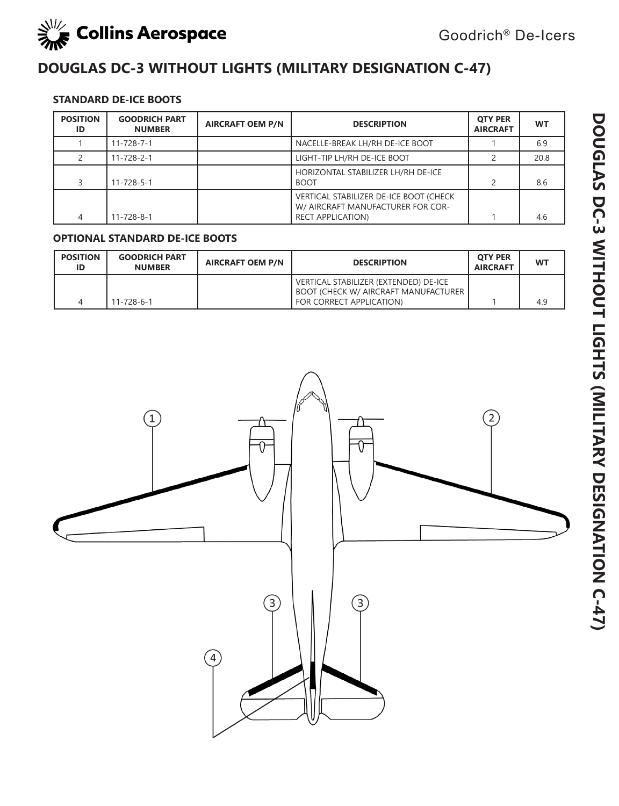

## **DOUGLAS DC-3 WITHOUT LIGHTS (MILITARY DESIGNATION C-47)**

#### **STANDARD DE-ICE BOOTS**

| <b>POSITION</b><br>ID | <b>GOODRICH PART</b><br><b>NUMBER</b> | <b>AIRCRAFT OEM P/N</b> | <b>DESCRIPTION</b>                                                                                      | <b>OTY PER</b><br><b>AIRCRAFT</b> | <b>WT</b> |
|-----------------------|---------------------------------------|-------------------------|---------------------------------------------------------------------------------------------------------|-----------------------------------|-----------|
|                       | $11 - 728 - 7 - 1$                    |                         | NACELLE-BREAK LH/RH DE-ICE BOOT                                                                         |                                   | 6.9       |
|                       | $11 - 728 - 2 - 1$                    |                         | LIGHT-TIP LH/RH DE-ICE BOOT                                                                             |                                   | 20.8      |
|                       | $11 - 728 - 5 - 1$                    |                         | HORIZONTAL STABILIZER LH/RH DE-ICE<br><b>BOOT</b>                                                       |                                   | 8.6       |
|                       | $11 - 728 - 8 - 1$                    |                         | VERTICAL STABILIZER DE-ICE BOOT (CHECK<br>W/ AIRCRAFT MANUFACTURER FOR COR-<br><b>RECT APPLICATION)</b> |                                   | 4.6       |

#### **OPTIONAL STANDARD DE-ICE BOOTS**

| <b>POSITION</b><br>ID | <b>GOODRICH PART</b><br><b>NUMBER</b> | <b>AIRCRAFT OEM P/N</b> | <b>DESCRIPTION</b>                                                            | <b>OTY PER</b><br><b>AIRCRAFT</b> | <b>WT</b> |
|-----------------------|---------------------------------------|-------------------------|-------------------------------------------------------------------------------|-----------------------------------|-----------|
|                       |                                       |                         | VERTICAL STABILIZER (EXTENDED) DE-ICE<br>BOOT (CHECK W/ AIRCRAFT MANUFACTURER |                                   |           |
|                       | $11 - 728 - 6 - 1$                    |                         | FOR CORRECT APPLICATION)                                                      |                                   | 4.9       |